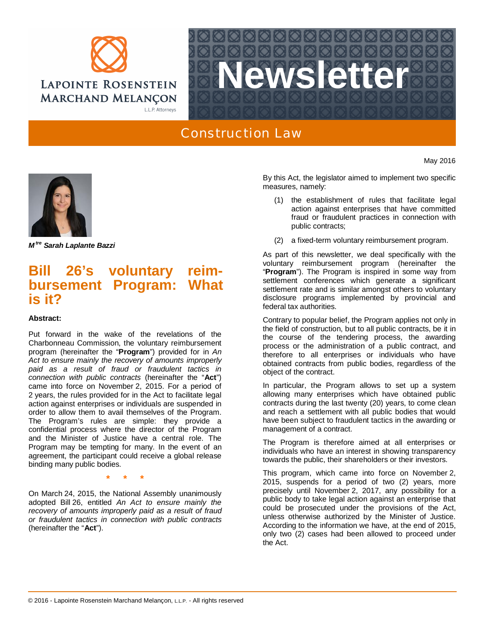



## Construction Law

*M tre Sarah Laplante Bazzi*

## **Bill 26's voluntary reimbursement Program: What is it?**

## **Abstract:**

Put forward in the wake of the revelations of the Charbonneau Commission, the voluntary reimbursement program (hereinafter the "**Program**") provided for in *An Act to ensure mainly the recovery of amounts improperly paid as a result of fraud or fraudulent tactics in connection with public contracts* (hereinafter the "**Act**") came into force on November 2, 2015. For a period of 2 years, the rules provided for in the Act to facilitate legal action against enterprises or individuals are suspended in order to allow them to avail themselves of the Program. The Program's rules are simple: they provide a confidential process where the director of the Program and the Minister of Justice have a central role. The Program may be tempting for many. In the event of an agreement, the participant could receive a global release binding many public bodies.

**\* \* \***

On March 24, 2015, the National Assembly unanimously adopted Bill 26, entitled *An Act to ensure mainly the recovery of amounts improperly paid as a result of fraud or fraudulent tactics in connection with public contracts* (hereinafter the "**Act**").

By this Act, the legislator aimed to implement two specific measures, namely:

May 2016

- (1) the establishment of rules that facilitate legal action against enterprises that have committed fraud or fraudulent practices in connection with public contracts;
- (2) a fixed-term voluntary reimbursement program.

As part of this newsletter, we deal specifically with the voluntary reimbursement program (hereinafter the "**Program**"). The Program is inspired in some way from settlement conferences which generate a significant settlement rate and is similar amongst others to voluntary disclosure programs implemented by provincial and federal tax authorities.

Contrary to popular belief, the Program applies not only in the field of construction, but to all public contracts, be it in the course of the tendering process, the awarding process or the administration of a public contract, and therefore to all enterprises or individuals who have obtained contracts from public bodies, regardless of the object of the contract.

In particular, the Program allows to set up a system allowing many enterprises which have obtained public contracts during the last twenty (20) years, to come clean and reach a settlement with all public bodies that would have been subject to fraudulent tactics in the awarding or management of a contract.

The Program is therefore aimed at all enterprises or individuals who have an interest in showing transparency towards the public, their shareholders or their investors.

This program, which came into force on November 2, 2015, suspends for a period of two (2) years, more precisely until November 2, 2017, any possibility for a public body to take legal action against an enterprise that could be prosecuted under the provisions of the Act, unless otherwise authorized by the Minister of Justice. According to the information we have, at the end of 2015, only two (2) cases had been allowed to proceed under the Act.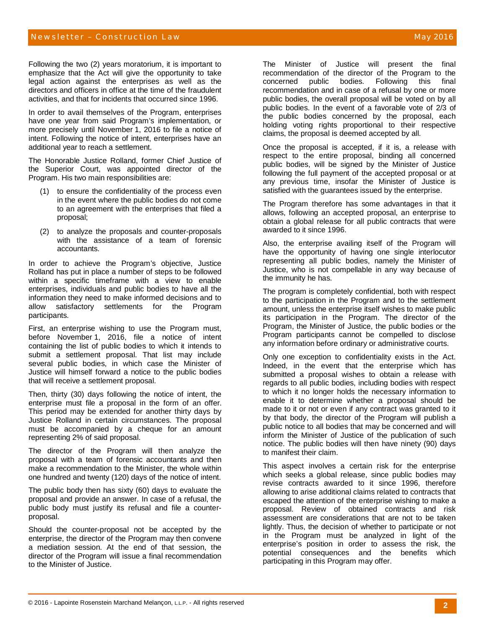## Newsletter – Construction Law May 2016 – May 2016 – May 2016 – May 2016 – May 2016

Following the two (2) years moratorium, it is important to emphasize that the Act will give the opportunity to take legal action against the enterprises as well as the directors and officers in office at the time of the fraudulent activities, and that for incidents that occurred since 1996.

In order to avail themselves of the Program, enterprises have one year from said Program's implementation, or more precisely until November 1, 2016 to file a notice of intent. Following the notice of intent, enterprises have an additional year to reach a settlement.

The Honorable Justice Rolland, former Chief Justice of the Superior Court, was appointed director of the Program. His two main responsibilities are:

- (1) to ensure the confidentiality of the process even in the event where the public bodies do not come to an agreement with the enterprises that filed a proposal;
- (2) to analyze the proposals and counter-proposals with the assistance of a team of forensic accountants.

In order to achieve the Program's objective, Justice Rolland has put in place a number of steps to be followed within a specific timeframe with a view to enable enterprises, individuals and public bodies to have all the information they need to make informed decisions and to allow satisfactory settlements for the Program participants.

First, an enterprise wishing to use the Program must, before November 1, 2016, file a notice of intent containing the list of public bodies to which it intends to submit a settlement proposal. That list may include several public bodies, in which case the Minister of Justice will himself forward a notice to the public bodies that will receive a settlement proposal.

Then, thirty (30) days following the notice of intent, the enterprise must file a proposal in the form of an offer. This period may be extended for another thirty days by Justice Rolland in certain circumstances. The proposal must be accompanied by a cheque for an amount representing 2% of said proposal.

The director of the Program will then analyze the proposal with a team of forensic accountants and then make a recommendation to the Minister, the whole within one hundred and twenty (120) days of the notice of intent.

The public body then has sixty (60) days to evaluate the proposal and provide an answer. In case of a refusal, the public body must justify its refusal and file a counterproposal.

Should the counter-proposal not be accepted by the enterprise, the director of the Program may then convene a mediation session. At the end of that session, the director of the Program will issue a final recommendation to the Minister of Justice.

The Minister of Justice will present the final recommendation of the director of the Program to the concerned public bodies. Following this final recommendation and in case of a refusal by one or more public bodies, the overall proposal will be voted on by all public bodies. In the event of a favorable vote of 2/3 of the public bodies concerned by the proposal, each holding voting rights proportional to their respective claims, the proposal is deemed accepted by all.

Once the proposal is accepted, if it is, a release with respect to the entire proposal, binding all concerned public bodies, will be signed by the Minister of Justice following the full payment of the accepted proposal or at any previous time, insofar the Minister of Justice is satisfied with the guarantees issued by the enterprise.

The Program therefore has some advantages in that it allows, following an accepted proposal, an enterprise to obtain a global release for all public contracts that were awarded to it since 1996.

Also, the enterprise availing itself of the Program will have the opportunity of having one single interlocutor representing all public bodies, namely the Minister of Justice, who is not compellable in any way because of the immunity he has.

The program is completely confidential, both with respect to the participation in the Program and to the settlement amount, unless the enterprise itself wishes to make public its participation in the Program. The director of the Program, the Minister of Justice, the public bodies or the Program participants cannot be compelled to disclose any information before ordinary or administrative courts.

Only one exception to confidentiality exists in the Act. Indeed, in the event that the enterprise which has submitted a proposal wishes to obtain a release with regards to all public bodies, including bodies with respect to which it no longer holds the necessary information to enable it to determine whether a proposal should be made to it or not or even if any contract was granted to it by that body, the director of the Program will publish a public notice to all bodies that may be concerned and will inform the Minister of Justice of the publication of such notice. The public bodies will then have ninety (90) days to manifest their claim.

This aspect involves a certain risk for the enterprise which seeks a global release, since public bodies may revise contracts awarded to it since 1996, therefore allowing to arise additional claims related to contracts that escaped the attention of the enterprise wishing to make a proposal. Review of obtained contracts and risk assessment are considerations that are not to be taken lightly. Thus, the decision of whether to participate or not in the Program must be analyzed in light of the enterprise's position in order to assess the risk, the potential consequences and the benefits which participating in this Program may offer.